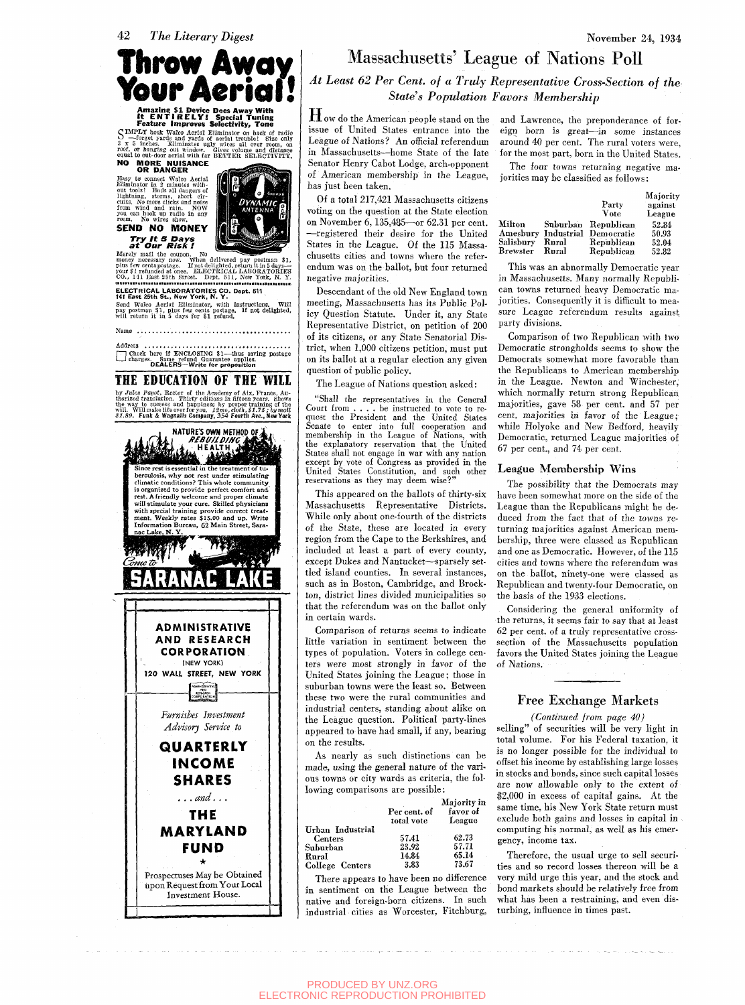

C IMPLY hook Walco Aerial Eliminator on back of radio  $3 \times 5$  inches. Eliminates ugly wires all over room, on  $2000$ , or hanging out window. Glyces is inches. Eliminates ugly wires all over room, on  $2000$ , or hanging out

**NO MORE NUISANCE OR DANGER** 

Easy to connect Walco Aerial<br>Eliminator in 2 minutes with<br>cut tools! Ends all dangers of<br>lightning, storms, short cir-<br>cuits, No more clicks and noise<br>from wind and rain. NOW<br>you can nook up radio in any<br>you can hoke up ra **SEND NO MONEY** 



**Try** It S **Days**  at **Our** Risk ! Merely mail the coupon. No<br>money necessary now. When delivered pay postman \$1,<br>plus few centspostage. If not delighted, return it in 5 days—<br>your \$1 refunded at once. ELBCTRICAL LABORATORIES<br>CO., 141 East 25th Street. Dept

**ELECTRICAL LABORATORIES CO. Dept. 611 141 East 26th St., New York, N. Y.** 

Send Walco Aerial Eliminator, with instructions. Will pay postman \$1 , plus few cents postage. If not delighted, will return it in 5 days for *%1* refund.

Name ................................. Address .................................

• Check here if ENCLOSING \$1—thus saving postage charges. Same refund Guarantee applies. DEALERS—Wrjte for proposition

# THE EDUCATION OF THE WILL by Jules Payof, Rector of the Academy of Aix, France, Au-<br>thorized translation. Thirty editions in fifteen vears. Shows<br>the way to success and happiness by proper training of the<br>will. Willnake life over for you. 12mo, elo



# Massachusetts' League of Nations Poll

*At Least 62 Per Cent, of a Truly Representative Cross-Section of the State's Population Favors Membership* 

How do the American people stand on the issue of United States entrance into the League of Nations? An official referendum in Massachusetts—home State of the late Senator Henry Cabot Lodge, arch-opponent of American membership in the League, has just been taken.

Of a total 217,421 Massachusetts citizens voting on the question at the State election on November 6, 135,485—or 62.31 per cent. —registered their desire for the United States in the League. Of the 115 Massachusetts cities and towns where the referendum was on the ballot, but four returned negative majorities.

Descendant of the old New England town meeting, Massachusetts has its Public Policy Question Statute. Under it, any State Representative District, on petition of 200 of its citizens, or any State Senatorial District, when 1,000 citizens petition, must put on its ballot at a regular election any given question of public policy.

The League of Nations question asked:

"Shall the representatives in the General Court from ... . be instructed to vote to request the President and the United States Senate to enter into full cooperation and membership in the League of Nations, with the explanatory reservation that the United States shall not engage in war with any nation except by vote of Congress as provided in the United States Constitution, and such other reservations as they may deem wise?"

This appeared on the ballots of thirty-six Massachusetts Representative Districts. While only about one-fourth of the districts of the State, these are located in every region from the Cape to the Berkshires, and included at least a part of every county, except Dukes and Nantucket—sparsely settled island counties. In several instances, such as in Boston, Cambridge, and Brockton, district lines divided municipalities so that the referendum was on the ballot only in certain wards.

Comparison of returns seems to indicate little variation in sentiment between the types of population. Voters in college centers were most strongly in favor of the United States joining the League; those in suburban towns were the least so. Between these two were the rural communities and industrial centers, standing about alike on the League question. Political party-lines appeared to have had small, if any, bearing on the results.

As nearly as such distinctions can be made, using the general nature of the various towns or city wards as criteria, the following comparisons are possible:

| Majority in<br>favor of<br>Per cent. of |
|-----------------------------------------|
| League<br>total vote                    |
|                                         |
| 62.73<br>57.41                          |
| 57.71<br>23.92                          |
| 65.14<br>14.84                          |
| 73.67<br>3.83                           |
|                                         |

There appears to have been no difference in sentiment on the League between the native and foreign-born citizens. In such native and foreign-born creation. The creation  $intu$ industrial cities as worldsteed, Fitchburg,  $\frac{1}{\sqrt{2}}$  and Lawrence, the preponderance of foreign born is great—in some instances around 40 per cent. The rural voters were, for the most part, born in the United States.

November 24, 1934

The four towns returning negative majorities may be classified as follows:

|           |            |            | Majority |
|-----------|------------|------------|----------|
|           |            | Party      | against  |
|           |            | Vote       | League   |
| Milton    | Suburban   | Republican | 52.84    |
| Amesbury  | Industrial | Democratic | 50.93    |
| Salisbury | Rural      | Republican | 52.04    |
| Brewster  | Rural      | Republican | 52.82    |

Brewster Rural Republican 52.82 This was an abnormally Democratic year. in Massachusetts. Many normally Republican towns returned heavy Democratic majorities. Consequently it is difficult to measure League referendum results against party divisions.

Comparison of two Republican with two Democratic strongholds seems to show the Democrats somewhat more favorable than the Republicans to American membership in the League. Newton and Winchester, which normally return strong Republican majorities, gave 58 per cent, and 57 per cent, majorities in favor of the League; while Holyoke and New Bedford, heavily Democratic, returned League majorities of 67 per cent., and 74 per cent.

### League Membership Wins

The possibility that the Democrats may have been somewhat more on the side of the League than the Republicans might be deduced from the fact that of the towns returning majorities against American membership, three were classed as Republican and one as Democratic. However, of the 115 cities and towns where the referendum was on the ballot, ninety-one were classed as Republican and twenty-four Democratic, on the basis of the 1933 elections.

Considering the general uniformity of the returns, it seems fair to say that at least 62 per cent, of a truly representative crosssection of the Massachusetts population favors the United States joining the League of Nations.

## Free Exchange Markets

*(Continued from page 40)* 

selling" of securities will be very light in total volume. For his Federal taxation, it is no longer possible for the individual to offset his income by establishing large losses in stocks and bonds, since such capital losses are now allowable only to the extent of \$2,000 in excess of capital gains. At the same time, his New York State return must exclude both gains and losses in capital in computing his normal, as well as his emergency, income tax.

Therefore, the usual urge to sell securities and so record losses thereon will be a very mild urge this year, and the stock and bond markets should be relatively free from what has been a restraining, and even disturbing, influence in times past.